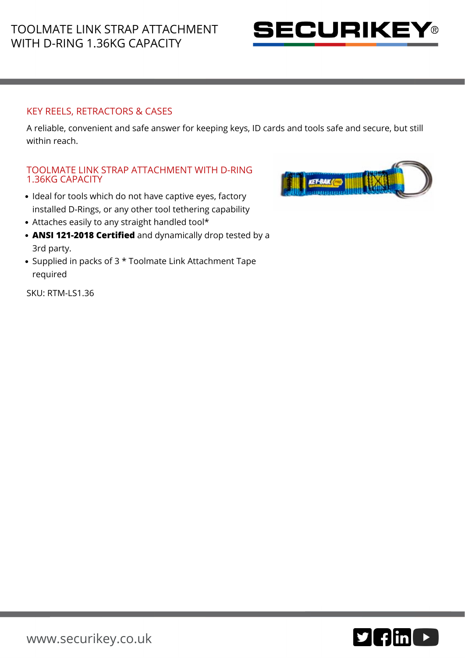

## KEY REELS, RETRACTORS & CASES

A reliable, convenient and safe answer for keeping keys, ID cards and tools safe and secure, but still within reach.

## TOOLMATE LINK STRAP ATTACHMENT WITH D-RING 1.36KG CAPACITY

- Ideal for tools which do not have captive eyes, factory installed D-Rings, or any other tool tethering capability
- Attaches easily to any straight handled tool\*
- **ANSI 121-2018 Certified** and dynamically drop tested by a 3rd party.
- Supplied in packs of 3 \* Toolmate Link Attachment Tape required

SKU: RTM-LS1.36



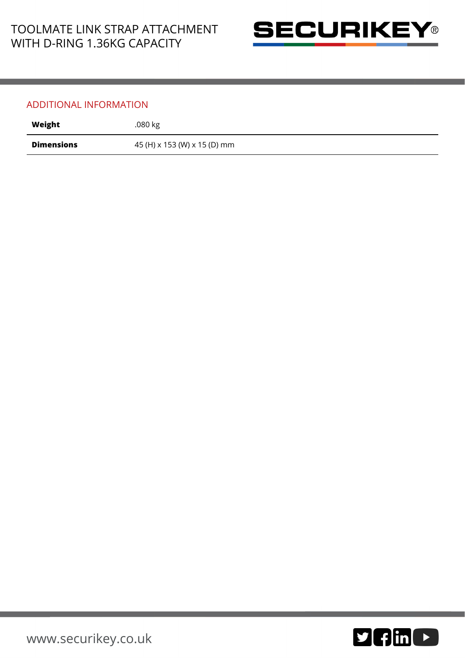

## ADDITIONAL INFORMATION

| Weight            | .080 kg                      |
|-------------------|------------------------------|
| <b>Dimensions</b> | 45 (H) x 153 (W) x 15 (D) mm |

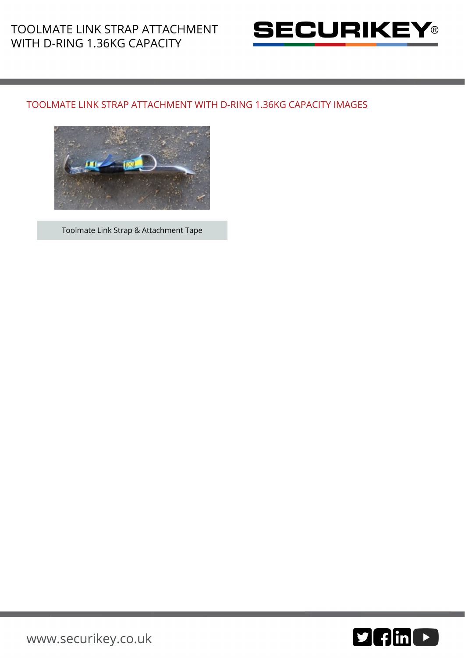

## TOOLMATE LINK STRAP ATTACHMENT WITH D-RING 1.36KG CAPACITY IMAGES



Toolmate Link Strap & Attachment Tape